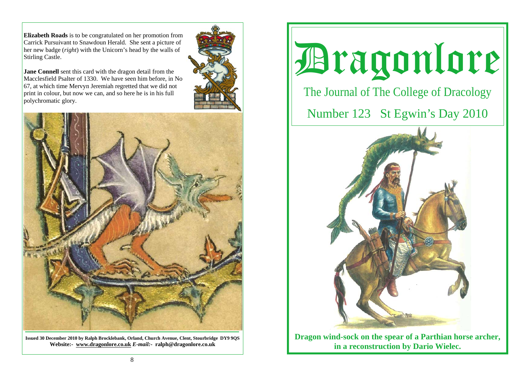**Elizabeth Roads** is to be congratulated on her promotion from Carrick Pursuivant to Snawdoun Herald. She sent a picture of her new badge (*right*) with the Unicorn's head by the walls of Stirling Castle.

**Jane Connell** sent this card with the dragon detail from the Macclesfield Psalter of 1330. We have seen him before, in No 67, at which time Mervyn Jeremiah regretted that we did not print in colour, but now we can, and so here he is in his full polychromatic glory.





**Issued 30 December 2010 by Ralph Brocklebank, Orland, Church Avenue, Clent, Stourbridge DY9 9QS Website:- www.dragonlore.co.uk** *E-mail:-* **ralph@dragonlore.co.uk**

Dragonlore

The Journal of The College of Dracology

Number 123 St Egwin's Day 2010



**Dragon wind-sock on the spear of a Parthian horse archer, in a reconstruction by Dario Wielec.**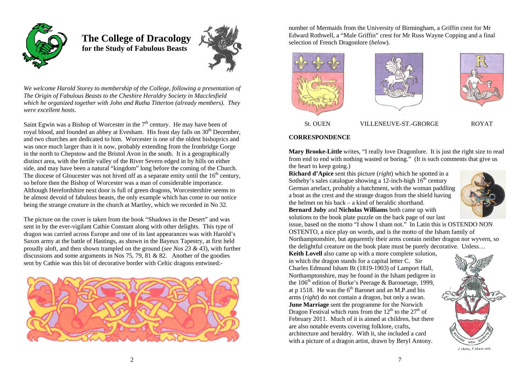

 **The College of Dracology for the Study of Fabulous Beasts** 



*We welcome Harold Storey to membership of the College, following a presentation of The Origin of Fabulous Beasts to the Cheshire Heraldry Society in Macclesfield which he organized together with John and Rutha Titterton (already members). They were excellent hosts.* 

Saint Egwin was a Bishop of Worcester in the  $7<sup>th</sup>$  century. He may have been of royal blood, and founded an abbey at Evesham. His feast day falls on 30<sup>th</sup> December, and two churches are dedicated to him. Worcester is one of the oldest bishoprics and was once much larger than it is now, probably extending from the Ironbridge Gorge in the north to Chepstow and the Bristol Avon in the south. It is a geographically distinct area, with the fertile valley of the River Severn edged in by hills on either side, and may have been a natural "kingdom" long before the coming of the Church. The diocese of Gloucester was not hived off as a separate entity until the  $16<sup>th</sup>$  century, so before then the Bishop of Worcester was a man of considerable importance. Although Herefordshire next door is full of green dragons, Worcestershire seems to be almost devoid of fabulous beasts, the only example which has come to our notice being the strange creature in the church at Martley, which we recorded in No 32.

The picture on the cover is taken from the book "Shadows in the Desert" and was sent in by the ever-vigilant Cathie Constant along with other delights. This type of dragon was carried across Europe and one of its last appearances was with Harold's Saxon army at the battle of Hastings, as shown in the Bayeux Tapestry, at first held proudly aloft, and then shown trampled on the ground (*see Nos 23 & 43*), with further discussions and some arguments in Nos 75, 79, 81 & 82. Another of the goodies sent by Cathie was this bit of decorative border with Celtic dragons entwined:-



number of Mermaids from the University of Birmingham, a Griffin crest for Mr Edward Rothwell, a "Male Griffin" crest for Mr Russ Wayne Copping and a final selection of French Dragonlore (*below*).



## **CORRESPONDENCE**

**Mary Brooke-Little** writes, "I really love Dragonlore. It is just the right size to read from end to end with nothing wasted or boring." (It is such comments that give us the heart to keep going.)

**Richard d'Apice** sent this picture (*right*) which he spotted in a Sotheby's sales catalogue showing a  $12$ -inch-high  $16<sup>th</sup>$  century German artefact, probably a hatchment, with the woman paddling a boat as the crest and the strange dragon from the shield having the helmet on his back – a kind of heraldic shorthand. **Bernard Juby** and **Nicholas Williams** both came up with

solutions to the book plate puzzle on the back page of our last



issue, based on the motto "I show I sham not." In Latin this is OSTENDO NON OSTENTO, a nice play on words, and is the motto of the Isham family of Northamptonshire, but apparently their arms contain neither dragon nor wyvern, so the delightful creature on the book plate must be purely decorative. Unless…

**Keith Lovell** also came up with a more complete solution, in which the dragon stands for a capital letter C. Sir Charles Edmund Isham Bt (1819-1903) of Lamport Hall, Northamptonshire, may be found in the Isham pedigree in the 106<sup>th</sup> edition of Burke's Peerage & Baronetage, 1999, at p 1518. He was the  $6<sup>th</sup>$  Baronet and an M.P.and his arms (*right*) do not contain a dragon, but only a swan. **June Marriage** sent the programme for the Norwich Dragon Festival which runs from the  $12<sup>th</sup>$  to the  $27<sup>th</sup>$  of February 2011. Much of it is aimed at children, but there are also notable events covering folklore, crafts, architecture and heraldry. With it, she included a card with a picture of a dragon artist, drawn by Beryl Antony.

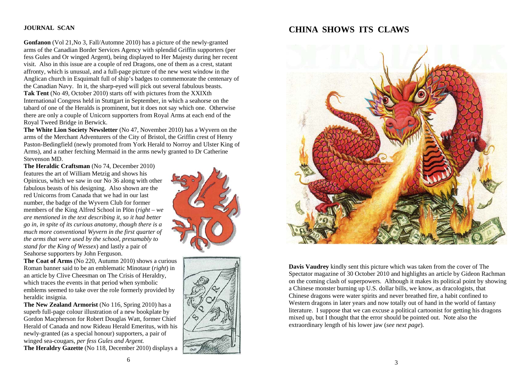## **JOURNAL SCAN**

**Gonfanon** (Vol 21,No 3, Fall/Automne 2010) has a picture of the newly-granted arms of the Canadian Border Services Agency with splendid Griffin supporters (per fess Gules and Or winged Argent), being displayed to Her Majesty during her recent visit. Also in this issue are a couple of red Dragons, one of them as a crest, statant affronty, which is unusual, and a full-page picture of the new west window in the Anglican church in Esquimalt full of ship's badges to commemorate the centenary of the Canadian Navy. In it, the sharp-eyed will pick out several fabulous beasts. **Tak Tent** (No 49, October 2010) starts off with pictures from the XXIXth International Congress held in Stuttgart in September, in which a seahorse on the tabard of one of the Heralds is prominent, but it does not say which one. Otherwise there are only a couple of Unicorn supporters from Royal Arms at each end of the Royal Tweed Bridge in Berwick.

**The White Lion Society Newsletter** (No 47, November 2010) has a Wyvern on the arms of the Merchant Adventurers of the City of Bristol, the Griffin crest of Henry Paston-Bedingfield (newly promoted from York Herald to Norroy and Ulster King of Arms), and a rather fetching Mermaid in the arms newly granted to Dr Catherine Stevenson MD.

**The Heraldic Craftsman** (No 74, December 2010) features the art of William Metzig and shows his Opinicus, which we saw in our No 36 along with other fabulous beasts of his designing. Also shown are the red Unicorns from Canada that we had in our last number, the badge of the Wyvern Club for former members of the King Alfred School in Plön (*right – we are mentioned in the text describing it, so it had better go in, in spite of its curious anatomy, though there is a much more conventional Wyvern in the first quarter of the arms that were used by the school, presumably to stand for the King of Wessex*) and lastly a pair of Seahorse supporters by John Ferguson.

**The Coat of Arms** (No 220, Autumn 2010) shows a curious Roman banner said to be an emblematic Minotaur (*right*) in an article by Clive Cheesman on The Crisis of Heraldry, which traces the events in that period when symbolic emblems seemed to take over the role formerly provided by heraldic insignia.

**The New Zealand Armorist (No 116, Spring 2010) has a** superb full-page colour illustration of a new bookplate by Gordon Macpherson for Robert Douglas Watt, former Chief Herald of Canada and now Rideau Herald Emeritus, with his newly-granted (as a special honour) supporters, a pair of winged sea-cougars, *per fess Gules and Argent.* **The Heraldry Gazette** (No 118, December 2010) displays a





# **CHINA SHOWS ITS CLAWS**



**Davis Vaudrey** kindly sent this picture which was taken from the cover of The Spectator magazine of 30 October 2010 and highlights an article by Gideon Rachman on the coming clash of superpowers. Although it makes its political point by showing a Chinese monster burning up U.S. dollar bills, we know, as dracologists, that Chinese dragons were water spirits and never breathed fire, a habit confined to Western dragons in later years and now totally out of hand in the world of fantasy literature. I suppose that we can excuse a political cartoonist for getting his dragons mixed up, but I thought that the error should be pointed out. Note also the extraordinary length of his lower jaw (*see next page*).